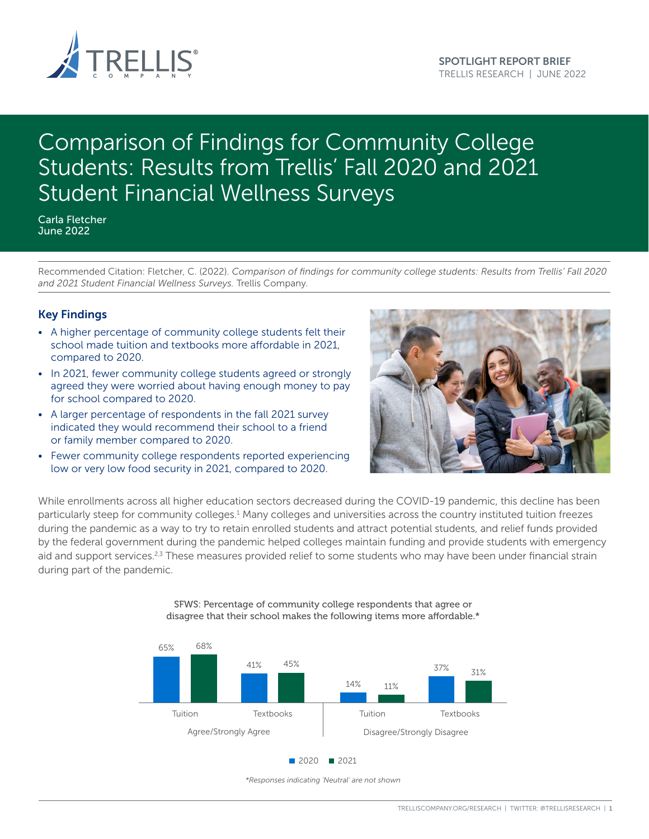

# Comparison of Findings for Community College Students: Results from Trellis' Fall 2020 and 2021 Student Financial Wellness Surveys

Carla Fletcher June 2022

Recommended Citation: Fletcher, C. (2022). *Comparison of findings for community college students: Results from Trellis' Fall 2020 and 2021 Student Financial Wellness Surveys.* Trellis Company.

## Key Findings

- A higher percentage of community college students felt their school made tuition and textbooks more affordable in 2021, compared to 2020.
- In 2021, fewer community college students agreed or strongly agreed they were worried about having enough money to pay for school compared to 2020.
- A larger percentage of respondents in the fall 2021 survey indicated they would recommend their school to a friend or family member compared to 2020.
- Fewer community college respondents reported experiencing low or very low food security in 2021, compared to 2020.



While enrollments across all higher education sectors decreased during the COVID-19 pandemic, this decline has been particularly steep for community colleges.<sup>1</sup> Many colleges and universities across the country instituted tuition freezes during the pandemic as a way to try to retain enrolled students and attract potential students, and relief funds provided by the federal government during the pandemic helped colleges maintain funding and provide students with emergency aid and support services.<sup>2,3</sup> These measures provided relief to some students who may have been under financial strain during part of the pandemic.



SFWS: Percentage of community college respondents that agree or disagree that their school makes the following items more affordable.\*

*<sup>\*</sup>Responses indicating 'Neutral' are not shown*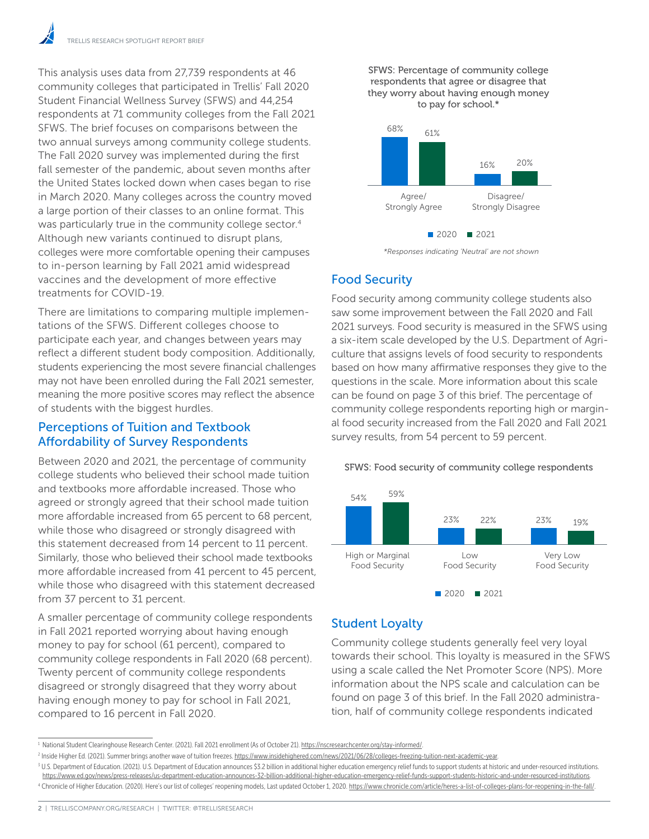This analysis uses data from 27,739 respondents at 46 community colleges that participated in Trellis' Fall 2020 Student Financial Wellness Survey (SFWS) and 44,254 respondents at 71 community colleges from the Fall 2021 SFWS. The brief focuses on comparisons between the two annual surveys among community college students. The Fall 2020 survey was implemented during the first fall semester of the pandemic, about seven months after **SFWS: Percentage respondents that age**ree or the United States locked down when cases began to rise that their school makes the following items more and the in March 2020. Many colleges across the country moved a large portion of their classes to an online format. This a large portion of their elasses to an online format. This<br>was particularly true in the community college sector.<sup>4</sup> Although new variants continued to disrupt plans, colleges were more comfortable opening their campuses to in-person learning by Fall 2021 amid widespread vaccines and the development of more effective treatments for COVID-19.

There are limitations to comparing multiple implementations of the SFWS. Different colleges choose to tations of the 31 WS. Different colleges choose to<br>participate each year, and changes between years may reflect a different student body composition. Additionally, culture th students experiencing the most severe financial challenges may not have been enrolled during the Fall 2021 semester, meaning the more positive scores may reflect the absence of students with the biggest hurdles.

# Perceptions of Tuition and Textbook Affordability of Survey Respondents

Between 2020 and 2021, the percentage of community college students who believed their school made tuition and textbooks more affordable increased. Those who 68% 61% agreed or strongly agreed that their school made tuition more affordable increased from 65 percent to 68 percent, more anordable increased nonr ob percent to be percent<br>while those who disagreed or strongly disagreed with this statement decreased from 14 percent to 11 percent. Similarly, those who believed their school made textbooks more affordable increased from 41 percent to 45 percent, while those who disagreed with this statement decreased from 37 percent to 31 percent. 20 and 2021, the  $\overline{a}$ 

A smaller percentage of community college respondents in Fall 2021 reported worrying about having enough money to pay for school (61 percent), compared to community college respondents in Fall 2020 (68 percent). Twenty percent of community college respondents disagreed or strongly disagreed that they worry about having enough money to pay for school in Fall 2021, compared to 16 percent in Fall 2020.





*\*Responses indicating 'Neutral' are not shown*

# Food Security

Food security among community college students also saw some improvement between the Fall 2020 and Fall 2021 surveys. Food security is measured in the SFWS using a six-item scale developed by the U.S. Department of Agriculture that assigns levels of food security to respondents based on how many affirmative responses they give to the questions in the scale. More information about this scale can be found on page 3 of this brief. The percentage of community college respondents reporting high or marginal food security increased from the Fall 2020 and Fall 2021 survey results, from 54 percent to 59 percent.

SFWS: Food security of community college respondents



# Student Loyalty

Community college students generally feel very loyal towards their school. This loyalty is measured in the SFWS using a scale called the Net Promoter Score (NPS). More information about the NPS scale and calculation can be found on page 3 of this brief. In the Fall 2020 administration, half of community college respondents indicated

<sup>&</sup>lt;sup>1</sup> National Student Clearinghouse Research Center. (2021). Fall 2021 enrollment (As of October 21).<https://nscresearchcenter.org/stay-informed/>.

<sup>&</sup>lt;sup>2</sup> Inside Higher Ed. (2021). Summer brings another wave of tuition freezes.<https://www.insidehighered.com/news/2021/06/28/colleges-freezing-tuition-next-academic-year>.

<sup>&</sup>lt;sup>3</sup> U.S. Department of Education. (2021). U.S. Department of Education announces \$3.2 billion in additional higher education emergency relief funds to support students at historic and under-resourced institutions. [https://www.ed.gov/news/press-releases/us-department-education-announces-32-billion-additional-higher-education-emergency-relief-funds-support-students-historic-and-under-resourced-institutions](https://www.ed.gov/news/press-releases/us-department-education-announces-32-billion-additional-highe). <sup>4</sup> Chronicle of Higher Education. (2020). Here's our list of colleges' reopening models, Last updated October 1, 2020. [https://www.chronicle.com/article/heres-a-list-of-colleges-plans-for-reopening-in-the-fall/.](https://www.chronicle.com/article/heres-a-list-of-colleges-plans-for-reopening-in-the-fall/)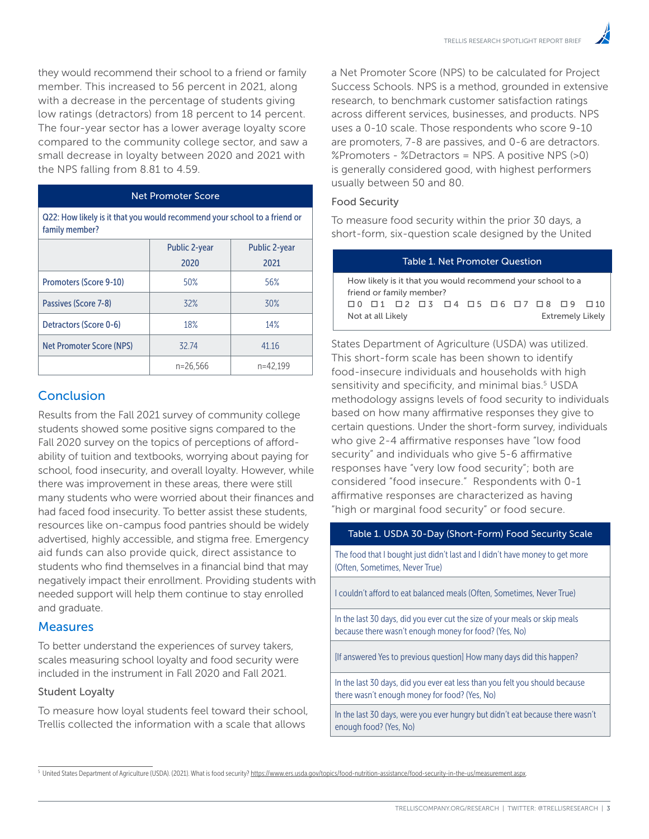they would recommend their school to a friend or family member. This increased to 56 percent in 2021, along with a decrease in the percentage of students giving low ratings (detractors) from 18 percent to 14 percent. The four-year sector has a lower average loyalty score compared to the community college sector, and saw a small decrease in loyalty between 2020 and 2021 with the NPS falling from 8.81 to 4.59.

#### Net Promoter Score

Q22: How likely is it that you would recommend your school to a friend or family member?

|                          | <b>Public 2-year</b> | <b>Public 2-year</b> |  |  |
|--------------------------|----------------------|----------------------|--|--|
|                          | 2020                 | 2021                 |  |  |
| Promoters (Score 9-10)   | 50%                  | 56%                  |  |  |
| Passives (Score 7-8)     | 32%                  | 30%                  |  |  |
| Detractors (Score 0-6)   | 18%                  | 14%                  |  |  |
| Net Promoter Score (NPS) | 3274                 | 41.16                |  |  |
|                          | $n = 26,566$         | n=42.199             |  |  |

# Conclusion

Results from the Fall 2021 survey of community college students showed some positive signs compared to the Fall 2020 survey on the topics of perceptions of affordability of tuition and textbooks, worrying about paying for school, food insecurity, and overall loyalty. However, while there was improvement in these areas, there were still many students who were worried about their finances and had faced food insecurity. To better assist these students, resources like on-campus food pantries should be widely advertised, highly accessible, and stigma free. Emergency aid funds can also provide quick, direct assistance to students who find themselves in a financial bind that may negatively impact their enrollment. Providing students with needed support will help them continue to stay enrolled and graduate.

### **Measures**

To better understand the experiences of survey takers, scales measuring school loyalty and food security were included in the instrument in Fall 2020 and Fall 2021.

#### Student Loyalty

To measure how loyal students feel toward their school, Trellis collected the information with a scale that allows

a Net Promoter Score (NPS) to be calculated for Project Success Schools. NPS is a method, grounded in extensive research, to benchmark customer satisfaction ratings across different services, businesses, and products. NPS uses a 0-10 scale. Those respondents who score 9-10 are promoters, 7-8 are passives, and 0-6 are detractors. %Promoters - %Detractors = NPS. A positive NPS (>0) is generally considered good, with highest performers usually between 50 and 80.

#### Food Security

To measure food security within the prior 30 days, a short-form, six-question scale designed by the United

| Table 1. Net Promoter Question                                                         |  |  |  |  |  |  |  |  |  |                                                                                                     |  |
|----------------------------------------------------------------------------------------|--|--|--|--|--|--|--|--|--|-----------------------------------------------------------------------------------------------------|--|
| How likely is it that you would recommend your school to a<br>friend or family member? |  |  |  |  |  |  |  |  |  |                                                                                                     |  |
|                                                                                        |  |  |  |  |  |  |  |  |  | $\Box$ 0 $\Box$ 1 $\Box$ 2 $\Box$ 3 $\Box$ 4 $\Box$ 5 $\Box$ 6 $\Box$ 7 $\Box$ 8 $\Box$ 9 $\Box$ 10 |  |
| <b>Extremely Likely</b><br>Not at all Likely                                           |  |  |  |  |  |  |  |  |  |                                                                                                     |  |

States Department of Agriculture (USDA) was utilized. This short-form scale has been shown to identify food-insecure individuals and households with high sensitivity and specificity, and minimal bias.<sup>5</sup> USDA methodology assigns levels of food security to individuals based on how many affirmative responses they give to certain questions. Under the short-form survey, individuals who give 2-4 affirmative responses have "low food security" and individuals who give 5-6 affirmative responses have "very low food security"; both are considered "food insecure." Respondents with 0-1 affirmative responses are characterized as having "high or marginal food security" or food secure.

#### Table 1. USDA 30-Day (Short-Form) Food Security Scale

The food that I bought just didn't last and I didn't have money to get more (Often, Sometimes, Never True)

I couldn't afford to eat balanced meals (Often, Sometimes, Never True)

In the last 30 days, did you ever cut the size of your meals or skip meals because there wasn't enough money for food? (Yes, No)

[If answered Yes to previous question] How many days did this happen?

In the last 30 days, did you ever eat less than you felt you should because there wasn't enough money for food? (Yes, No)

In the last 30 days, were you ever hungry but didn't eat because there wasn't enough food? (Yes, No)

<sup>5</sup> United States Department of Agriculture (USDA). (2021). What is food security? <https://www.ers.usda.gov/topics/food-nutrition-assistance/food-security-in-the-us/measurement.aspx>.